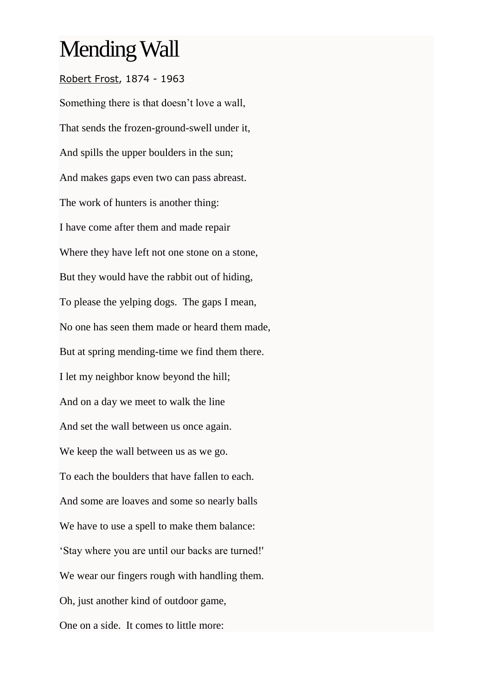## Mending Wall

## [Robert Frost,](https://www.poets.org/node/45684) 1874 - 1963

Something there is that doesn't love a wall, That sends the frozen-ground-swell under it, And spills the upper boulders in the sun; And makes gaps even two can pass abreast. The work of hunters is another thing: I have come after them and made repair Where they have left not one stone on a stone, But they would have the rabbit out of hiding, To please the yelping dogs. The gaps I mean, No one has seen them made or heard them made, But at spring mending-time we find them there. I let my neighbor know beyond the hill; And on a day we meet to walk the line And set the wall between us once again. We keep the wall between us as we go. To each the boulders that have fallen to each. And some are loaves and some so nearly balls We have to use a spell to make them balance: 'Stay where you are until our backs are turned!' We wear our fingers rough with handling them. Oh, just another kind of outdoor game, One on a side. It comes to little more: